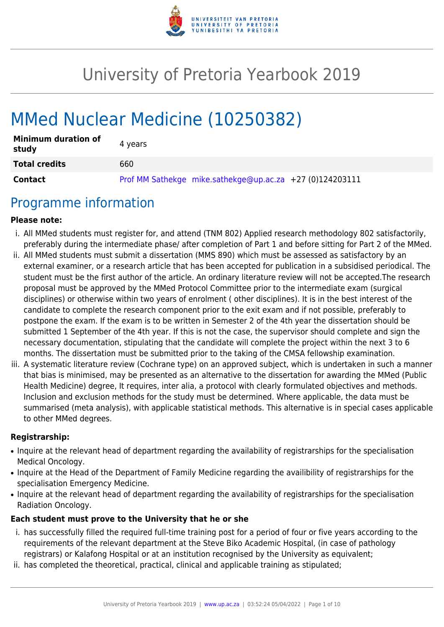

# University of Pretoria Yearbook 2019

# MMed Nuclear Medicine (10250382)

| <b>Minimum duration of</b><br>study | 4 vears                                                    |
|-------------------------------------|------------------------------------------------------------|
| <b>Total credits</b>                | 660                                                        |
| <b>Contact</b>                      | Prof MM Sathekge mike.sathekge@up.ac.za $+27$ (0)124203111 |

### Programme information

#### **Please note:**

- i. All MMed students must register for, and attend (TNM 802) Applied research methodology 802 satisfactorily, preferably during the intermediate phase/ after completion of Part 1 and before sitting for Part 2 of the MMed.
- ii. All MMed students must submit a dissertation (MMS 890) which must be assessed as satisfactory by an external examiner, or a research article that has been accepted for publication in a subsidised periodical. The student must be the first author of the article. An ordinary literature review will not be accepted.The research proposal must be approved by the MMed Protocol Committee prior to the intermediate exam (surgical disciplines) or otherwise within two years of enrolment ( other disciplines). It is in the best interest of the candidate to complete the research component prior to the exit exam and if not possible, preferably to postpone the exam. If the exam is to be written in Semester 2 of the 4th year the dissertation should be submitted 1 September of the 4th year. If this is not the case, the supervisor should complete and sign the necessary documentation, stipulating that the candidate will complete the project within the next 3 to 6 months. The dissertation must be submitted prior to the taking of the CMSA fellowship examination.
- iii. A systematic literature review (Cochrane type) on an approved subject, which is undertaken in such a manner that bias is minimised, may be presented as an alternative to the dissertation for awarding the MMed (Public Health Medicine) degree, It requires, inter alia, a protocol with clearly formulated objectives and methods. Inclusion and exclusion methods for the study must be determined. Where applicable, the data must be summarised (meta analysis), with applicable statistical methods. This alternative is in special cases applicable to other MMed degrees.

#### **Registrarship:**

- Inquire at the relevant head of department regarding the availability of registrarships for the specialisation Medical Oncology.
- Inquire at the Head of the Department of Family Medicine regarding the availibility of registrarships for the specialisation Emergency Medicine.
- Inquire at the relevant head of department regarding the availability of registrarships for the specialisation Radiation Oncology.

#### **Each student must prove to the University that he or she**

- i. has successfully filled the required full-time training post for a period of four or five years according to the requirements of the relevant department at the Steve Biko Academic Hospital, (in case of pathology registrars) or Kalafong Hospital or at an institution recognised by the University as equivalent;
- ii. has completed the theoretical, practical, clinical and applicable training as stipulated;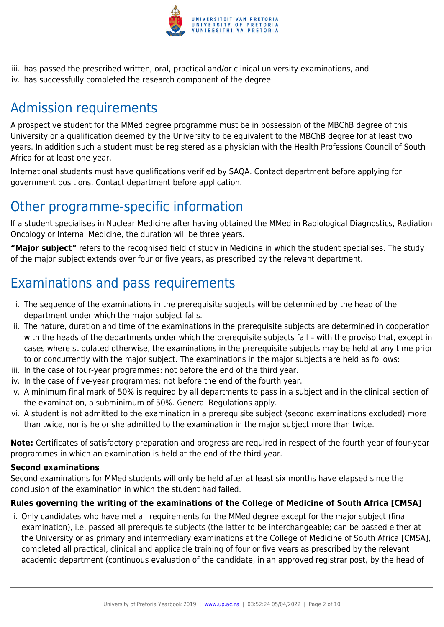

iii. has passed the prescribed written, oral, practical and/or clinical university examinations, and iv. has successfully completed the research component of the degree.

# Admission requirements

A prospective student for the MMed degree programme must be in possession of the MBChB degree of this University or a qualification deemed by the University to be equivalent to the MBChB degree for at least two years. In addition such a student must be registered as a physician with the Health Professions Council of South Africa for at least one year.

International students must have qualifications verified by SAQA. Contact department before applying for government positions. Contact department before application.

### Other programme-specific information

If a student specialises in Nuclear Medicine after having obtained the MMed in Radiological Diagnostics, Radiation Oncology or Internal Medicine, the duration will be three years.

**"Major subject"** refers to the recognised field of study in Medicine in which the student specialises. The study of the major subject extends over four or five years, as prescribed by the relevant department.

# Examinations and pass requirements

- i. The sequence of the examinations in the prerequisite subjects will be determined by the head of the department under which the major subject falls.
- ii. The nature, duration and time of the examinations in the prerequisite subjects are determined in cooperation with the heads of the departments under which the prerequisite subjects fall – with the proviso that, except in cases where stipulated otherwise, the examinations in the prerequisite subjects may be held at any time prior to or concurrently with the major subject. The examinations in the major subjects are held as follows:
- iii. In the case of four-year programmes: not before the end of the third year.
- iv. In the case of five-year programmes: not before the end of the fourth year.
- v. A minimum final mark of 50% is required by all departments to pass in a subject and in the clinical section of the examination, a subminimum of 50%. General Regulations apply.
- vi. A student is not admitted to the examination in a prerequisite subject (second examinations excluded) more than twice, nor is he or she admitted to the examination in the major subject more than twice.

**Note:** Certificates of satisfactory preparation and progress are required in respect of the fourth year of four-year programmes in which an examination is held at the end of the third year.

#### **Second examinations**

Second examinations for MMed students will only be held after at least six months have elapsed since the conclusion of the examination in which the student had failed.

#### **Rules governing the writing of the examinations of the College of Medicine of South Africa [CMSA]**

i. Only candidates who have met all requirements for the MMed degree except for the major subject (final examination), i.e. passed all prerequisite subjects (the latter to be interchangeable; can be passed either at the University or as primary and intermediary examinations at the College of Medicine of South Africa [CMSA], completed all practical, clinical and applicable training of four or five years as prescribed by the relevant academic department (continuous evaluation of the candidate, in an approved registrar post, by the head of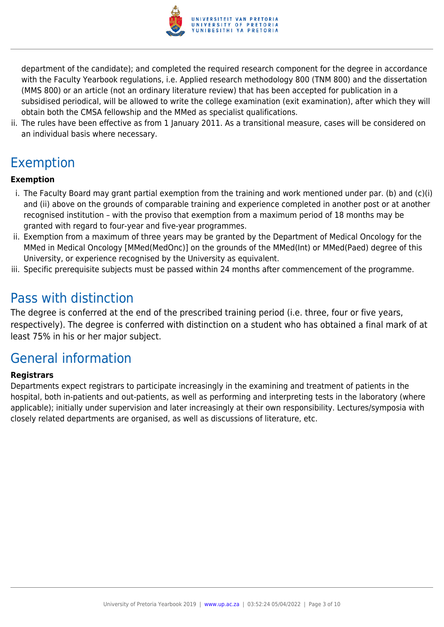

department of the candidate); and completed the required research component for the degree in accordance with the Faculty Yearbook regulations, i.e. Applied research methodology 800 (TNM 800) and the dissertation (MMS 800) or an article (not an ordinary literature review) that has been accepted for publication in a subsidised periodical, will be allowed to write the college examination (exit examination), after which they will obtain both the CMSA fellowship and the MMed as specialist qualifications.

ii. The rules have been effective as from 1 January 2011. As a transitional measure, cases will be considered on an individual basis where necessary.

## Exemption

#### **Exemption**

- i. The Faculty Board may grant partial exemption from the training and work mentioned under par. (b) and (c)(i) and (ii) above on the grounds of comparable training and experience completed in another post or at another recognised institution – with the proviso that exemption from a maximum period of 18 months may be granted with regard to four-year and five-year programmes.
- ii. Exemption from a maximum of three years may be granted by the Department of Medical Oncology for the MMed in Medical Oncology [MMed(MedOnc)] on the grounds of the MMed(Int) or MMed(Paed) degree of this University, or experience recognised by the University as equivalent.
- iii. Specific prerequisite subjects must be passed within 24 months after commencement of the programme.

### Pass with distinction

The degree is conferred at the end of the prescribed training period (i.e. three, four or five years, respectively). The degree is conferred with distinction on a student who has obtained a final mark of at least 75% in his or her major subject.

### General information

#### **Registrars**

Departments expect registrars to participate increasingly in the examining and treatment of patients in the hospital, both in-patients and out-patients, as well as performing and interpreting tests in the laboratory (where applicable); initially under supervision and later increasingly at their own responsibility. Lectures/symposia with closely related departments are organised, as well as discussions of literature, etc.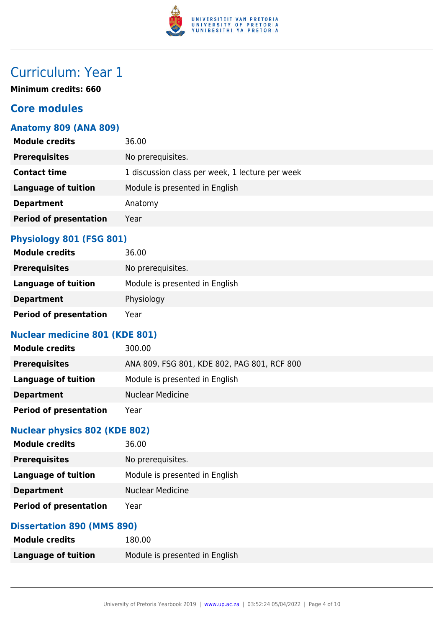

# Curriculum: Year 1

**Minimum credits: 660**

#### **Core modules**

#### **Anatomy 809 (ANA 809)**

| <b>Module credits</b>         | 36.00                                           |
|-------------------------------|-------------------------------------------------|
| <b>Prerequisites</b>          | No prerequisites.                               |
| <b>Contact time</b>           | 1 discussion class per week, 1 lecture per week |
| <b>Language of tuition</b>    | Module is presented in English                  |
| <b>Department</b>             | Anatomy                                         |
| <b>Period of presentation</b> | Year                                            |
|                               |                                                 |

#### **Physiology 801 (FSG 801)**

| <b>Module credits</b>         | 36.00                          |
|-------------------------------|--------------------------------|
| <b>Prerequisites</b>          | No prerequisites.              |
| Language of tuition           | Module is presented in English |
| <b>Department</b>             | Physiology                     |
| <b>Period of presentation</b> | Year                           |

#### **Nuclear medicine 801 (KDE 801)**

| <b>Module credits</b>         | 300.00                                      |
|-------------------------------|---------------------------------------------|
| <b>Prerequisites</b>          | ANA 809, FSG 801, KDE 802, PAG 801, RCF 800 |
| Language of tuition           | Module is presented in English              |
| <b>Department</b>             | <b>Nuclear Medicine</b>                     |
| <b>Period of presentation</b> | Year                                        |

#### **Nuclear physics 802 (KDE 802)**

| <b>Module credits</b>         | 36.00                          |
|-------------------------------|--------------------------------|
| <b>Prerequisites</b>          | No prerequisites.              |
| Language of tuition           | Module is presented in English |
| <b>Department</b>             | <b>Nuclear Medicine</b>        |
| <b>Period of presentation</b> | Year                           |

#### **Dissertation 890 (MMS 890)**

| <b>Module credits</b>      | 180.00                         |
|----------------------------|--------------------------------|
| <b>Language of tuition</b> | Module is presented in English |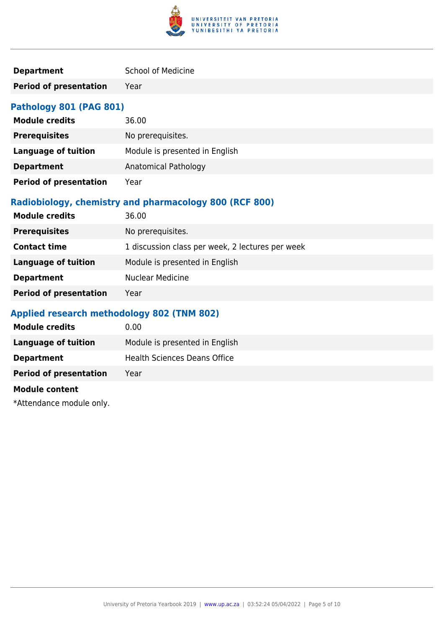

| <b>Department</b> | <b>School of Medicine</b> |
|-------------------|---------------------------|
|                   |                           |

**Period of presentation** Year

#### **Pathology 801 (PAG 801)**

| <b>Module credits</b>         | 36.00                          |
|-------------------------------|--------------------------------|
| <b>Prerequisites</b>          | No prerequisites.              |
| <b>Language of tuition</b>    | Module is presented in English |
| <b>Department</b>             | Anatomical Pathology           |
| <b>Period of presentation</b> | Year                           |

#### **Radiobiology, chemistry and pharmacology 800 (RCF 800)**

| No prerequisites.<br><b>Prerequisites</b>                               |  |
|-------------------------------------------------------------------------|--|
| 1 discussion class per week, 2 lectures per week<br><b>Contact time</b> |  |
| Module is presented in English<br><b>Language of tuition</b>            |  |
| <b>Nuclear Medicine</b><br><b>Department</b>                            |  |
| <b>Period of presentation</b><br>Year                                   |  |

#### **Applied research methodology 802 (TNM 802)**

| <b>Module credits</b>         | 0.00                                |
|-------------------------------|-------------------------------------|
| Language of tuition           | Module is presented in English      |
| <b>Department</b>             | <b>Health Sciences Deans Office</b> |
| <b>Period of presentation</b> | Year                                |
|                               |                                     |

#### **Module content**

\*Attendance module only.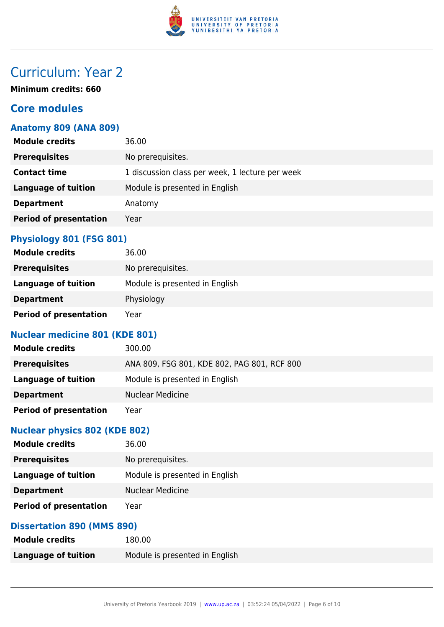

# Curriculum: Year 2

**Minimum credits: 660**

#### **Core modules**

#### **Anatomy 809 (ANA 809)**

| <b>Module credits</b>         | 36.00                                           |
|-------------------------------|-------------------------------------------------|
| <b>Prerequisites</b>          | No prerequisites.                               |
| <b>Contact time</b>           | 1 discussion class per week, 1 lecture per week |
| <b>Language of tuition</b>    | Module is presented in English                  |
| <b>Department</b>             | Anatomy                                         |
| <b>Period of presentation</b> | Year                                            |
|                               |                                                 |

#### **Physiology 801 (FSG 801)**

| <b>Module credits</b>         | 36.00                          |
|-------------------------------|--------------------------------|
| <b>Prerequisites</b>          | No prerequisites.              |
| Language of tuition           | Module is presented in English |
| <b>Department</b>             | Physiology                     |
| <b>Period of presentation</b> | Year                           |

#### **Nuclear medicine 801 (KDE 801)**

| <b>Module credits</b>         | 300.00                                      |
|-------------------------------|---------------------------------------------|
| <b>Prerequisites</b>          | ANA 809, FSG 801, KDE 802, PAG 801, RCF 800 |
| Language of tuition           | Module is presented in English              |
| <b>Department</b>             | <b>Nuclear Medicine</b>                     |
| <b>Period of presentation</b> | Year                                        |

#### **Nuclear physics 802 (KDE 802)**

| <b>Module credits</b>         | 36.00                          |
|-------------------------------|--------------------------------|
| <b>Prerequisites</b>          | No prerequisites.              |
| Language of tuition           | Module is presented in English |
| <b>Department</b>             | <b>Nuclear Medicine</b>        |
| <b>Period of presentation</b> | Year                           |

#### **Dissertation 890 (MMS 890)**

| <b>Module credits</b>      | 180.00                         |
|----------------------------|--------------------------------|
| <b>Language of tuition</b> | Module is presented in English |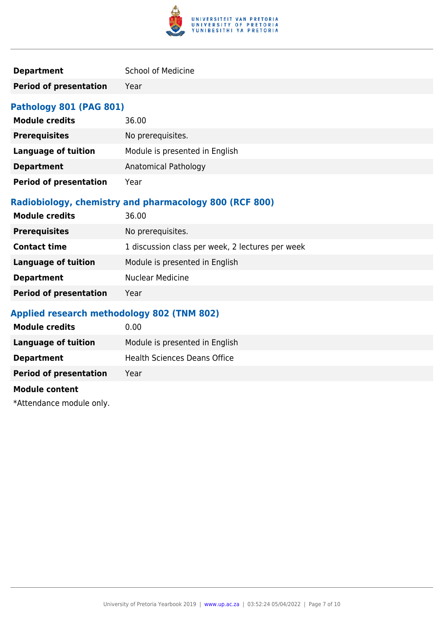

| <b>Department</b> | <b>School of Medicine</b> |
|-------------------|---------------------------|
|                   |                           |

**Period of presentation** Year

#### **Pathology 801 (PAG 801)**

| <b>Module credits</b>         | 36.00                          |
|-------------------------------|--------------------------------|
| <b>Prerequisites</b>          | No prerequisites.              |
| <b>Language of tuition</b>    | Module is presented in English |
| <b>Department</b>             | Anatomical Pathology           |
| <b>Period of presentation</b> | Year                           |

#### **Radiobiology, chemistry and pharmacology 800 (RCF 800)**

| <b>Module credits</b>         | 36.00                                            |
|-------------------------------|--------------------------------------------------|
| <b>Prerequisites</b>          | No prerequisites.                                |
| <b>Contact time</b>           | 1 discussion class per week, 2 lectures per week |
| <b>Language of tuition</b>    | Module is presented in English                   |
| <b>Department</b>             | <b>Nuclear Medicine</b>                          |
| <b>Period of presentation</b> | Year                                             |

#### **Applied research methodology 802 (TNM 802)**

| <b>Module credits</b>         | 0.00                                |
|-------------------------------|-------------------------------------|
| Language of tuition           | Module is presented in English      |
| <b>Department</b>             | <b>Health Sciences Deans Office</b> |
| <b>Period of presentation</b> | Year                                |
|                               |                                     |

#### **Module content**

\*Attendance module only.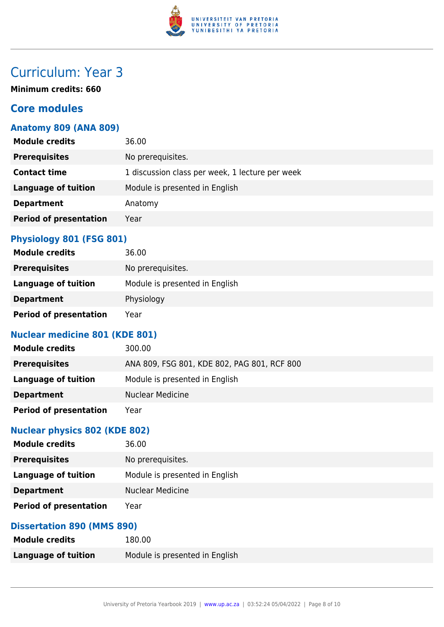

# Curriculum: Year 3

**Minimum credits: 660**

#### **Core modules**

#### **Anatomy 809 (ANA 809)**

| <b>Module credits</b>         | 36.00                                           |
|-------------------------------|-------------------------------------------------|
| <b>Prerequisites</b>          | No prerequisites.                               |
| <b>Contact time</b>           | 1 discussion class per week, 1 lecture per week |
| <b>Language of tuition</b>    | Module is presented in English                  |
| <b>Department</b>             | Anatomy                                         |
| <b>Period of presentation</b> | Year                                            |
|                               |                                                 |

#### **Physiology 801 (FSG 801)**

| <b>Module credits</b>         | 36.00                          |
|-------------------------------|--------------------------------|
| <b>Prerequisites</b>          | No prerequisites.              |
| Language of tuition           | Module is presented in English |
| <b>Department</b>             | Physiology                     |
| <b>Period of presentation</b> | Year                           |

#### **Nuclear medicine 801 (KDE 801)**

| <b>Module credits</b>         | 300.00                                      |
|-------------------------------|---------------------------------------------|
| <b>Prerequisites</b>          | ANA 809, FSG 801, KDE 802, PAG 801, RCF 800 |
| Language of tuition           | Module is presented in English              |
| <b>Department</b>             | <b>Nuclear Medicine</b>                     |
| <b>Period of presentation</b> | Year                                        |

#### **Nuclear physics 802 (KDE 802)**

| <b>Module credits</b>         | 36.00                          |
|-------------------------------|--------------------------------|
| <b>Prerequisites</b>          | No prerequisites.              |
| Language of tuition           | Module is presented in English |
| <b>Department</b>             | <b>Nuclear Medicine</b>        |
| <b>Period of presentation</b> | Year                           |

#### **Dissertation 890 (MMS 890)**

| <b>Module credits</b> | 180.00                         |
|-----------------------|--------------------------------|
| Language of tuition   | Module is presented in English |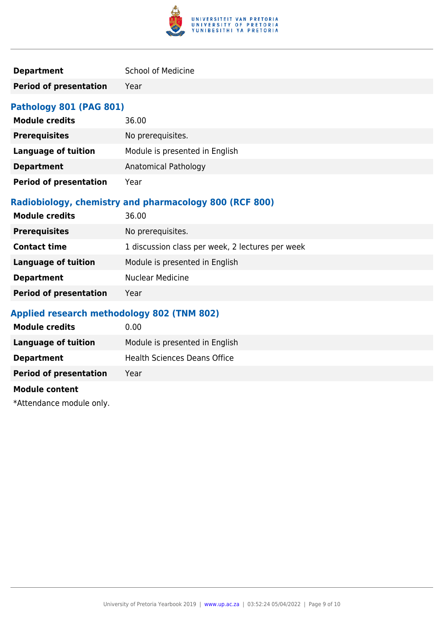

| <b>Department</b> | <b>School of Medicine</b> |
|-------------------|---------------------------|
|                   |                           |

**Period of presentation** Year

#### **Pathology 801 (PAG 801)**

| <b>Module credits</b>         | 36.00                          |
|-------------------------------|--------------------------------|
| <b>Prerequisites</b>          | No prerequisites.              |
| <b>Language of tuition</b>    | Module is presented in English |
| <b>Department</b>             | Anatomical Pathology           |
| <b>Period of presentation</b> | Year                           |

#### **Radiobiology, chemistry and pharmacology 800 (RCF 800)**

| <b>Module credits</b>         | 36.00                                            |
|-------------------------------|--------------------------------------------------|
| <b>Prerequisites</b>          | No prerequisites.                                |
| <b>Contact time</b>           | 1 discussion class per week, 2 lectures per week |
| <b>Language of tuition</b>    | Module is presented in English                   |
| <b>Department</b>             | <b>Nuclear Medicine</b>                          |
| <b>Period of presentation</b> | Year                                             |

#### **Applied research methodology 802 (TNM 802)**

| <b>Module credits</b>         | 0.00                                |
|-------------------------------|-------------------------------------|
| Language of tuition           | Module is presented in English      |
| <b>Department</b>             | <b>Health Sciences Deans Office</b> |
| <b>Period of presentation</b> | Year                                |
|                               |                                     |

#### **Module content**

\*Attendance module only.